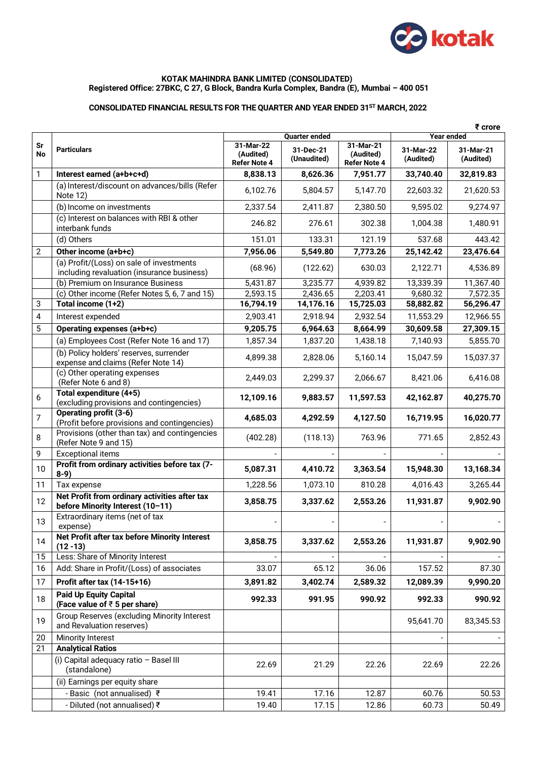

#### **KOTAK MAHINDRA BANK LIMITED (CONSOLIDATED) Registered Office: 27BKC, C 27, G Block, Bandra Kurla Complex, Bandra (E), Mumbai – 400 051**

# **CONSOLIDATED FINANCIAL RESULTS FOR THE QUARTER AND YEAR ENDED 31ST MARCH, 2022**

|                | ₹ crore                                                                                |                                               |                          |                                               |                        |                        |  |
|----------------|----------------------------------------------------------------------------------------|-----------------------------------------------|--------------------------|-----------------------------------------------|------------------------|------------------------|--|
|                |                                                                                        |                                               | <b>Quarter ended</b>     |                                               | Year ended             |                        |  |
| Sr<br>No       | <b>Particulars</b>                                                                     | 31-Mar-22<br>(Audited)<br><b>Refer Note 4</b> | 31-Dec-21<br>(Unaudited) | 31-Mar-21<br>(Audited)<br><b>Refer Note 4</b> | 31-Mar-22<br>(Audited) | 31-Mar-21<br>(Audited) |  |
| 1              | Interest earned (a+b+c+d)                                                              | 8,838.13                                      | 8,626.36                 | 7,951.77                                      | 33,740.40              | 32,819.83              |  |
|                | (a) Interest/discount on advances/bills (Refer<br>Note 12)                             | 6,102.76                                      | 5,804.57                 | 5,147.70                                      | 22,603.32              | 21,620.53              |  |
|                | (b) Income on investments                                                              | 2,337.54                                      | 2,411.87                 | 2,380.50                                      | 9,595.02               | 9,274.97               |  |
|                | (c) Interest on balances with RBI & other<br>interbank funds                           | 246.82                                        | 276.61                   | 302.38                                        | 1,004.38               | 1,480.91               |  |
|                | (d) Others                                                                             | 151.01                                        | 133.31                   | 121.19                                        | 537.68                 | 443.42                 |  |
| 2              | Other income (a+b+c)                                                                   | 7,956.06                                      | 5,549.80                 | 7,773.26                                      | 25,142.42              | 23,476.64              |  |
|                | (a) Profit/(Loss) on sale of investments<br>including revaluation (insurance business) | (68.96)                                       | (122.62)                 | 630.03                                        | 2,122.71               | 4,536.89               |  |
|                | (b) Premium on Insurance Business                                                      | 5,431.87                                      | 3,235.77                 | 4,939.82                                      | 13,339.39              | 11,367.40              |  |
|                | (c) Other income (Refer Notes 5, 6, 7 and 15)                                          | 2,593.15                                      | 2,436.65                 | 2,203.41                                      | 9,680.32               | 7,572.35               |  |
| 3              | Total income (1+2)                                                                     | 16,794.19                                     | 14,176.16                | 15,725.03                                     | 58,882.82              | 56,296.47              |  |
| 4              | Interest expended                                                                      | 2,903.41                                      | 2,918.94                 | 2,932.54                                      | 11,553.29              | 12,966.55              |  |
| 5              | Operating expenses (a+b+c)                                                             | 9,205.75                                      | 6,964.63                 | 8,664.99                                      | 30,609.58              | 27,309.15              |  |
|                | (a) Employees Cost (Refer Note 16 and 17)                                              | 1,857.34                                      | 1,837.20                 | 1,438.18                                      | 7,140.93               | 5,855.70               |  |
|                | (b) Policy holders' reserves, surrender<br>expense and claims (Refer Note 14)          | 4,899.38                                      | 2,828.06                 | 5,160.14                                      | 15,047.59              | 15,037.37              |  |
|                | (c) Other operating expenses<br>(Refer Note 6 and 8)                                   | 2,449.03                                      | 2,299.37                 | 2,066.67                                      | 8,421.06               | 6,416.08               |  |
| 6              | Total expenditure (4+5)<br>(excluding provisions and contingencies)                    | 12,109.16                                     | 9,883.57                 | 11,597.53                                     | 42,162.87              | 40,275.70              |  |
| $\overline{7}$ | Operating profit (3-6)<br>(Profit before provisions and contingencies)                 | 4,685.03                                      | 4,292.59                 | 4,127.50                                      | 16,719.95              | 16,020.77              |  |
| 8              | Provisions (other than tax) and contingencies<br>(Refer Note 9 and 15)                 | (402.28)                                      | (118.13)                 | 763.96                                        | 771.65                 | 2,852.43               |  |
| 9              | <b>Exceptional items</b>                                                               |                                               |                          |                                               |                        |                        |  |
| 10             | Profit from ordinary activities before tax (7-<br>$8-9)$                               | 5,087.31                                      | 4,410.72                 | 3,363.54                                      | 15,948.30              | 13,168.34              |  |
| 11             | Tax expense                                                                            | 1,228.56                                      | 1,073.10                 | 810.28                                        | 4,016.43               | 3,265.44               |  |
| 12             | Net Profit from ordinary activities after tax<br>before Minority Interest (10-11)      | 3,858.75                                      | 3,337.62                 | 2,553.26                                      | 11,931.87              | 9,902.90               |  |
| 13             | Extraordinary items (net of tax<br>expense)                                            |                                               |                          |                                               |                        |                        |  |
| 14             | Net Profit after tax before Minority Interest<br>$(12 - 13)$                           | 3,858.75                                      | 3,337.62                 | 2,553.26                                      | 11,931.87              | 9,902.90               |  |
| 15             | Less: Share of Minority Interest                                                       |                                               |                          |                                               |                        |                        |  |
| 16             | Add: Share in Profit/(Loss) of associates                                              | 33.07                                         | 65.12                    | 36.06                                         | 157.52                 | 87.30                  |  |
| 17             | Profit after tax (14-15+16)                                                            | 3,891.82                                      | 3,402.74                 | 2,589.32                                      | 12,089.39              | 9,990.20               |  |
| 18             | <b>Paid Up Equity Capital</b><br>(Face value of $\overline{z}$ 5 per share)            | 992.33                                        | 991.95                   | 990.92                                        | 992.33                 | 990.92                 |  |
| 19             | Group Reserves (excluding Minority Interest<br>and Revaluation reserves)               |                                               |                          |                                               | 95,641.70              | 83,345.53              |  |
| 20             | Minority Interest                                                                      |                                               |                          |                                               |                        |                        |  |
| 21             | <b>Analytical Ratios</b>                                                               |                                               |                          |                                               |                        |                        |  |
|                | (i) Capital adequacy ratio - Basel III<br>(standalone)                                 | 22.69                                         | 21.29                    | 22.26                                         | 22.69                  | 22.26                  |  |
|                | (ii) Earnings per equity share                                                         |                                               |                          |                                               |                        |                        |  |
|                | - Basic (not annualised) ₹                                                             | 19.41                                         | 17.16                    | 12.87                                         | 60.76                  | 50.53                  |  |
|                | - Diluted (not annualised) ₹                                                           | 19.40                                         | 17.15                    | 12.86                                         | 60.73                  | 50.49                  |  |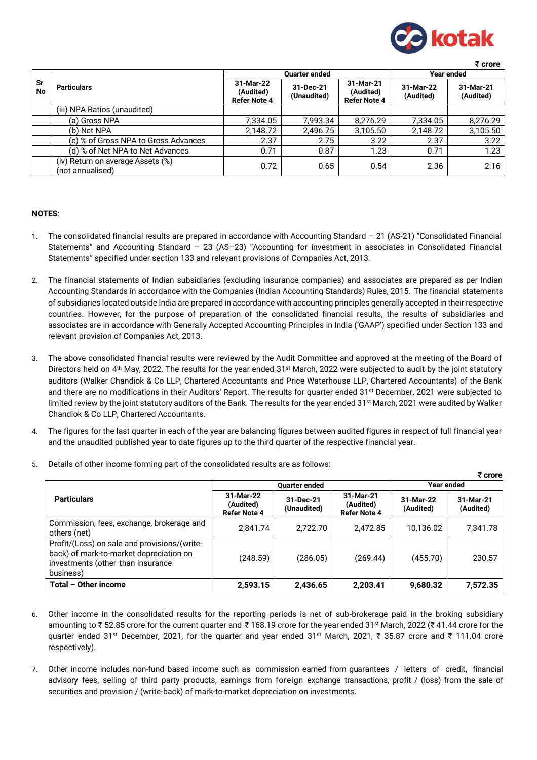

 **₹ crore**

 **₹ crore**

|                 |                                                       |                                               | <b>Quarter ended</b>     |                                               |                        | Year ended             |
|-----------------|-------------------------------------------------------|-----------------------------------------------|--------------------------|-----------------------------------------------|------------------------|------------------------|
| Sr<br><b>No</b> | <b>Particulars</b>                                    | 31-Mar-22<br>(Audited)<br><b>Refer Note 4</b> | 31-Dec-21<br>(Unaudited) | 31-Mar-21<br>(Audited)<br><b>Refer Note 4</b> | 31-Mar-22<br>(Audited) | 31-Mar-21<br>(Audited) |
|                 | (iii) NPA Ratios (unaudited)                          |                                               |                          |                                               |                        |                        |
|                 | (a) Gross NPA                                         | 7,334.05                                      | 7.993.34                 | 8.276.29                                      | 7.334.05               | 8.276.29               |
|                 | (b) Net NPA                                           | 2,148.72                                      | 2,496.75                 | 3,105.50                                      | 2,148.72               | 3,105.50               |
|                 | (c) % of Gross NPA to Gross Advances                  | 2.37                                          | 2.75                     | 3.22                                          | 2.37                   | 3.22                   |
|                 | (d) % of Net NPA to Net Advances                      | 0.71                                          | 0.87                     | 1.23                                          | 0.71                   | 1.23                   |
|                 | (iv) Return on average Assets (%)<br>(not annualised) | 0.72                                          | 0.65                     | 0.54                                          | 2.36                   | 2.16                   |

## **NOTES**:

- 1. The consolidated financial results are prepared in accordance with Accounting Standard 21 (AS-21) "Consolidated Financial Statements" and Accounting Standard – 23 (AS–23) "Accounting for investment in associates in Consolidated Financial Statements" specified under section 133 and relevant provisions of Companies Act, 2013.
- 2. The financial statements of Indian subsidiaries (excluding insurance companies) and associates are prepared as per Indian Accounting Standards in accordance with the Companies (Indian Accounting Standards) Rules, 2015. The financial statements of subsidiaries located outside India are prepared in accordance with accounting principles generally accepted in their respective countries. However, for the purpose of preparation of the consolidated financial results, the results of subsidiaries and associates are in accordance with Generally Accepted Accounting Principles in India ('GAAP') specified under Section 133 and relevant provision of Companies Act, 2013.
- 3. The above consolidated financial results were reviewed by the Audit Committee and approved at the meeting of the Board of Directors held on 4<sup>th</sup> May, 2022. The results for the year ended 31<sup>st</sup> March, 2022 were subjected to audit by the joint statutory auditors (Walker Chandiok & Co LLP, Chartered Accountants and Price Waterhouse LLP, Chartered Accountants) of the Bank and there are no modifications in their Auditors' Report. The results for quarter ended 31st December, 2021 were subjected to limited review by the joint statutory auditors of the Bank. The results for the year ended 31<sup>st</sup> March, 2021 were audited by Walker Chandiok & Co LLP, Chartered Accountants.
- 4. The figures for the last quarter in each of the year are balancing figures between audited figures in respect of full financial year and the unaudited published year to date figures up to the third quarter of the respective financial year.

|                                                                                                                                           |                                               |                          |                                               |                        | र crore                |
|-------------------------------------------------------------------------------------------------------------------------------------------|-----------------------------------------------|--------------------------|-----------------------------------------------|------------------------|------------------------|
|                                                                                                                                           |                                               | <b>Quarter ended</b>     | Year ended                                    |                        |                        |
| <b>Particulars</b>                                                                                                                        | 31-Mar-22<br>(Audited)<br><b>Refer Note 4</b> | 31-Dec-21<br>(Unaudited) | 31-Mar-21<br>(Audited)<br><b>Refer Note 4</b> | 31-Mar-22<br>(Audited) | 31-Mar-21<br>(Audited) |
| Commission, fees, exchange, brokerage and<br>others (net)                                                                                 | 2.841.74                                      | 2,722.70                 | 2.472.85                                      | 10,136.02              | 7,341.78               |
| Profit/(Loss) on sale and provisions/(write-<br>back) of mark-to-market depreciation on<br>investments (other than insurance<br>business) | (248.59)                                      | (286.05)                 | (269.44)                                      | (455.70)               | 230.57                 |
| Total - Other income                                                                                                                      | 2,593.15                                      | 2,436.65                 | 2,203.41                                      | 9,680.32               | 7,572.35               |

5. Details of other income forming part of the consolidated results are as follows:

- 6. Other income in the consolidated results for the reporting periods is net of sub-brokerage paid in the broking subsidiary amounting to ₹ 52.85 crore for the current quarter and ₹ 168.19 crore for the year ended 31st March, 2022 (₹ 41.44 crore for the quarter ended 31st December, 2021, for the quarter and year ended 31st March, 2021, ₹ 35.87 crore and ₹ 111.04 crore respectively).
- 7. Other income includes non-fund based income such as commission earned from guarantees / letters of credit, financial advisory fees, selling of third party products, earnings from foreign exchange transactions, profit / (loss) from the sale of securities and provision / (write-back) of mark-to-market depreciation on investments.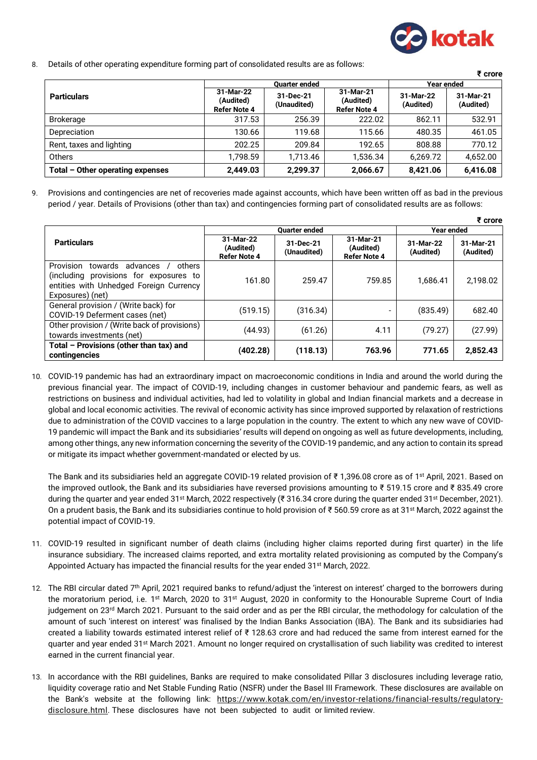

8. Details of other operating expenditure forming part of consolidated results are as follows:

|                                  |                                               |                          |                                               |                        | ₹ crore                |
|----------------------------------|-----------------------------------------------|--------------------------|-----------------------------------------------|------------------------|------------------------|
|                                  |                                               | <b>Quarter ended</b>     | Year ended                                    |                        |                        |
| <b>Particulars</b>               | 31-Mar-22<br>(Audited)<br><b>Refer Note 4</b> | 31-Dec-21<br>(Unaudited) | 31-Mar-21<br>(Audited)<br><b>Refer Note 4</b> | 31-Mar-22<br>(Audited) | 31-Mar-21<br>(Audited) |
| <b>Brokerage</b>                 | 317.53                                        | 256.39                   | 222.02                                        | 862.11                 | 532.91                 |
| Depreciation                     | 130.66                                        | 119.68                   | 115.66                                        | 480.35                 | 461.05                 |
| Rent, taxes and lighting         | 202.25                                        | 209.84                   | 192.65                                        | 808.88                 | 770.12                 |
| Others                           | 1,798.59                                      | 1,713.46                 | 1,536.34                                      | 6,269.72               | 4,652.00               |
| Total - Other operating expenses | 2.449.03                                      | 2.299.37                 | 2,066.67                                      | 8,421.06               | 6,416.08               |

9. Provisions and contingencies are net of recoveries made against accounts, which have been written off as bad in the previous period / year. Details of Provisions (other than tax) and contingencies forming part of consolidated results are as follows:

|                                                                                                                                                     |                                               |                          |                                               |                        | ₹ crore                |
|-----------------------------------------------------------------------------------------------------------------------------------------------------|-----------------------------------------------|--------------------------|-----------------------------------------------|------------------------|------------------------|
|                                                                                                                                                     |                                               | <b>Ouarter ended</b>     | <b>Year ended</b>                             |                        |                        |
| <b>Particulars</b>                                                                                                                                  | 31-Mar-22<br>(Audited)<br><b>Refer Note 4</b> | 31-Dec-21<br>(Unaudited) | 31-Mar-21<br>(Audited)<br><b>Refer Note 4</b> | 31-Mar-22<br>(Audited) | 31-Mar-21<br>(Audited) |
| Provision<br>towards<br>others<br>advances<br>(including provisions for exposures to<br>entities with Unhedged Foreign Currency<br>Exposures) (net) | 161.80                                        | 259.47                   | 759.85                                        | 1.686.41               | 2,198.02               |
| General provision / (Write back) for<br>COVID-19 Deferment cases (net)                                                                              | (519.15)                                      | (316.34)                 | $\overline{\phantom{0}}$                      | (835.49)               | 682.40                 |
| Other provision / (Write back of provisions)<br>towards investments (net)                                                                           | (44.93)                                       | (61.26)                  | 4.11                                          | (79.27)                | (27.99)                |
| Total - Provisions (other than tax) and<br>contingencies                                                                                            | (402.28)                                      | (118.13)                 | 763.96                                        | 771.65                 | 2,852.43               |

10. COVID-19 pandemic has had an extraordinary impact on macroeconomic conditions in India and around the world during the previous financial year. The impact of COVID-19, including changes in customer behaviour and pandemic fears, as well as restrictions on business and individual activities, had led to volatility in global and Indian financial markets and a decrease in global and local economic activities. The revival of economic activity has since improved supported by relaxation of restrictions due to administration of the COVID vaccines to a large population in the country. The extent to which any new wave of COVID-19 pandemic will impact the Bank and its subsidiaries' results will depend on ongoing as well as future developments, including, among other things, any new information concerning the severity of the COVID-19 pandemic, and any action to contain its spread or mitigate its impact whether government-mandated or elected by us.

The Bank and its subsidiaries held an aggregate COVID-19 related provision of ₹ 1,396.08 crore as of 1<sup>st</sup> April, 2021. Based on the improved outlook, the Bank and its subsidiaries have reversed provisions amounting to ₹ 519.15 crore and ₹ 835.49 crore during the quarter and year ended 31st March, 2022 respectively (₹ 316.34 crore during the quarter ended 31st December, 2021). On a prudent basis, the Bank and its subsidiaries continue to hold provision of ₹560.59 crore as at 31<sup>st</sup> March, 2022 against the potential impact of COVID-19.

- 11. COVID-19 resulted in significant number of death claims (including higher claims reported during first quarter) in the life insurance subsidiary. The increased claims reported, and extra mortality related provisioning as computed by the Company's Appointed Actuary has impacted the financial results for the year ended 31<sup>st</sup> March, 2022.
- 12. The RBI circular dated 7<sup>th</sup> April, 2021 required banks to refund/adjust the 'interest on interest' charged to the borrowers during the moratorium period, i.e. 1<sup>st</sup> March, 2020 to 31<sup>st</sup> August, 2020 in conformity to the Honourable Supreme Court of India judgement on 23<sup>rd</sup> March 2021. Pursuant to the said order and as per the RBI circular, the methodology for calculation of the amount of such 'interest on interest' was finalised by the Indian Banks Association (IBA). The Bank and its subsidiaries had created a liability towards estimated interest relief of ₹ 128.63 crore and had reduced the same from interest earned for the quarter and year ended 31st March 2021. Amount no longer required on crystallisation of such liability was credited to interest earned in the current financial year.
- 13. In accordance with the RBI guidelines, Banks are required to make consolidated Pillar 3 disclosures including leverage ratio, liquidity coverage ratio and Net Stable Funding Ratio (NSFR) under the Basel III Framework. These disclosures are available on the Bank's website at the following link: [https://www.kotak.com/en/investor-relations/financial-results/regulatory](https://www.kotak.com/en/investor-relations/financial-results/regulatory-disclosure.html)[disclosure.html.](https://www.kotak.com/en/investor-relations/financial-results/regulatory-disclosure.html) These disclosures have not been subjected to audit or limited review.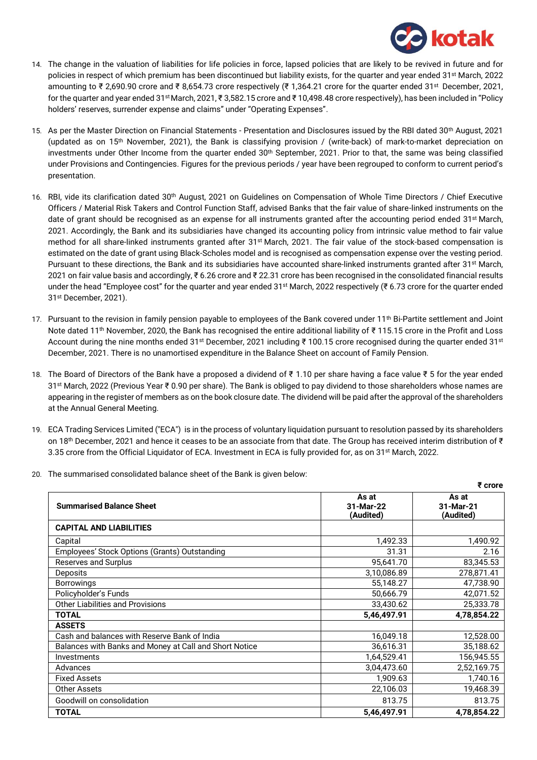

- 14. The change in the valuation of liabilities for life policies in force, lapsed policies that are likely to be revived in future and for policies in respect of which premium has been discontinued but liability exists, for the quarter and year ended 31<sup>st</sup> March, 2022 amounting to ₹ 2,690.90 crore and ₹ 8,654.73 crore respectively (₹ 1,364.21 crore for the quarter ended 31st December, 2021, for the quarter and year ended 31stMarch, 2021, ₹ 3,582.15 crore and ₹ 10,498.48 crore respectively), has been included in "Policy holders' reserves, surrender expense and claims" under "Operating Expenses".
- 15. As per the Master Direction on Financial Statements Presentation and Disclosures issued by the RBI dated 30<sup>th</sup> August, 2021 (updated as on  $15<sup>th</sup>$  November, 2021), the Bank is classifying provision / (write-back) of mark-to-market depreciation on investments under Other Income from the quarter ended 30<sup>th</sup> September, 2021. Prior to that, the same was being classified under Provisions and Contingencies. Figures for the previous periods / year have been regrouped to conform to current period's presentation.
- 16. RBI, vide its clarification dated 30th August, 2021 on Guidelines on Compensation of Whole Time Directors / Chief Executive Officers / Material Risk Takers and Control Function Staff, advised Banks that the fair value of share-linked instruments on the date of grant should be recognised as an expense for all instruments granted after the accounting period ended 31st March, 2021. Accordingly, the Bank and its subsidiaries have changed its accounting policy from intrinsic value method to fair value method for all share-linked instruments granted after 31st March, 2021. The fair value of the stock-based compensation is estimated on the date of grant using Black-Scholes model and is recognised as compensation expense over the vesting period. Pursuant to these directions, the Bank and its subsidiaries have accounted share-linked instruments granted after 31<sup>st</sup> March, 2021 on fair value basis and accordingly, ₹ 6.26 crore and ₹ 22.31 crore has been recognised in the consolidated financial results under the head "Employee cost" for the quarter and year ended 31st March, 2022 respectively (₹ 6.73 crore for the quarter ended 31st December, 2021).
- 17. Pursuant to the revision in family pension payable to employees of the Bank covered under 11<sup>th</sup> Bi-Partite settlement and Joint Note dated 11<sup>th</sup> November, 2020, the Bank has recognised the entire additional liability of ₹ 115.15 crore in the Profit and Loss Account during the nine months ended 31<sup>st</sup> December, 2021 including ₹ 100.15 crore recognised during the quarter ended 31<sup>st</sup> December, 2021. There is no unamortised expenditure in the Balance Sheet on account of Family Pension.
- 18. The Board of Directors of the Bank have a proposed a dividend of ₹ 1.10 per share having a face value ₹ 5 for the year ended 31st March, 2022 (Previous Year ₹ 0.90 per share). The Bank is obliged to pay dividend to those shareholders whose names are appearing in the register of members as on the book closure date. The dividend will be paid after the approval of the shareholders at the Annual General Meeting.
- 19. ECA Trading Services Limited ("ECA") is in the process of voluntary liquidation pursuant to resolution passed by its shareholders on 18th December, 2021 and hence it ceases to be an associate from that date. The Group has received interim distribution of ₹ 3.35 crore from the Official Liquidator of ECA. Investment in ECA is fully provided for, as on 31<sup>st</sup> March, 2022.
- 20. The summarised consolidated balance sheet of the Bank is given below:

|                                                        |                                 | ₹ crore                         |
|--------------------------------------------------------|---------------------------------|---------------------------------|
| <b>Summarised Balance Sheet</b>                        | As at<br>31-Mar-22<br>(Audited) | As at<br>31-Mar-21<br>(Audited) |
| <b>CAPITAL AND LIABILITIES</b>                         |                                 |                                 |
| Capital                                                | 1,492.33                        | 1,490.92                        |
| Employees' Stock Options (Grants) Outstanding          | 31.31                           | 2.16                            |
| <b>Reserves and Surplus</b>                            | 95,641.70                       | 83,345.53                       |
| <b>Deposits</b>                                        | 3,10,086.89                     | 278,871.41                      |
| <b>Borrowings</b>                                      | 55,148.27                       | 47,738.90                       |
| Policyholder's Funds                                   | 50,666.79                       | 42,071.52                       |
| <b>Other Liabilities and Provisions</b>                | 33,430.62                       | 25,333.78                       |
| <b>TOTAL</b>                                           | 5,46,497.91                     | 4,78,854.22                     |
| <b>ASSETS</b>                                          |                                 |                                 |
| Cash and balances with Reserve Bank of India           | 16,049.18                       | 12,528.00                       |
| Balances with Banks and Money at Call and Short Notice | 36,616.31                       | 35,188.62                       |
| Investments                                            | 1,64,529.41                     | 156,945.55                      |
| Advances                                               | 3,04,473.60                     | 2,52,169.75                     |
| <b>Fixed Assets</b>                                    | 1,909.63                        | 1,740.16                        |
| Other Assets                                           | 22,106.03                       | 19,468.39                       |
| Goodwill on consolidation                              | 813.75                          | 813.75                          |
| <b>TOTAL</b>                                           | 5,46,497.91                     | 4,78,854.22                     |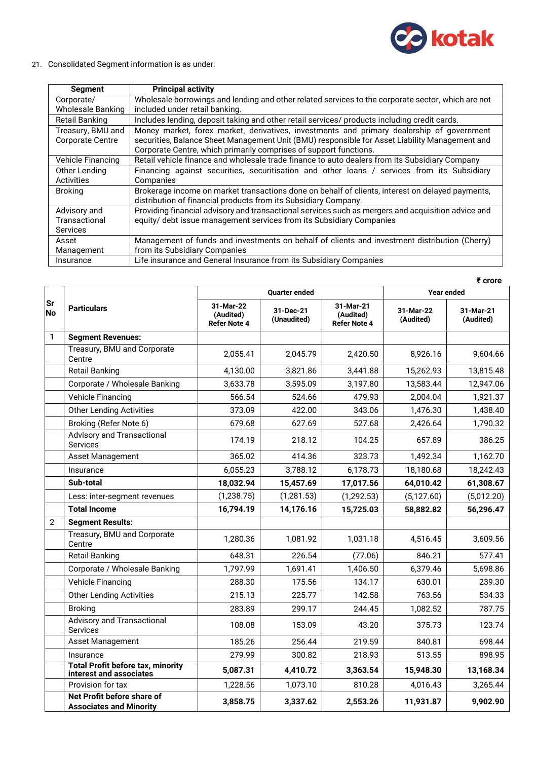

## 21. Consolidated Segment information is as under:

| Segment                 | <b>Principal activity</b>                                                                          |
|-------------------------|----------------------------------------------------------------------------------------------------|
| Corporate/              | Wholesale borrowings and lending and other related services to the corporate sector, which are not |
| Wholesale Banking       | included under retail banking.                                                                     |
| Retail Banking          | Includes lending, deposit taking and other retail services/ products including credit cards.       |
| Treasury, BMU and       | Money market, forex market, derivatives, investments and primary dealership of government          |
| <b>Corporate Centre</b> | securities, Balance Sheet Management Unit (BMU) responsible for Asset Liability Management and     |
|                         | Corporate Centre, which primarily comprises of support functions.                                  |
| Vehicle Financing       | Retail vehicle finance and wholesale trade finance to auto dealers from its Subsidiary Company     |
| Other Lending           | Financing against securities, securitisation and other loans / services from its Subsidiary        |
| Activities              | Companies                                                                                          |
| <b>Broking</b>          | Brokerage income on market transactions done on behalf of clients, interest on delayed payments,   |
|                         | distribution of financial products from its Subsidiary Company.                                    |
| Advisory and            | Providing financial advisory and transactional services such as mergers and acquisition advice and |
| Transactional           | equity/ debt issue management services from its Subsidiary Companies                               |
| <b>Services</b>         |                                                                                                    |
| Asset                   | Management of funds and investments on behalf of clients and investment distribution (Cherry)      |
| Management              | from its Subsidiary Companies                                                                      |
| Insurance               | Life insurance and General Insurance from its Subsidiary Companies                                 |

|                        |                                                                     | ₹ crore                                       |                          |                                               |                        |                        |  |  |
|------------------------|---------------------------------------------------------------------|-----------------------------------------------|--------------------------|-----------------------------------------------|------------------------|------------------------|--|--|
|                        |                                                                     |                                               | <b>Quarter ended</b>     | <b>Year ended</b>                             |                        |                        |  |  |
| <b>Sr</b><br><b>No</b> | <b>Particulars</b>                                                  | 31-Mar-22<br>(Audited)<br><b>Refer Note 4</b> | 31-Dec-21<br>(Unaudited) | 31-Mar-21<br>(Audited)<br><b>Refer Note 4</b> | 31-Mar-22<br>(Audited) | 31-Mar-21<br>(Audited) |  |  |
| 1                      | <b>Segment Revenues:</b>                                            |                                               |                          |                                               |                        |                        |  |  |
|                        | Treasury, BMU and Corporate<br>Centre                               | 2,055.41                                      | 2,045.79                 | 2,420.50                                      | 8,926.16               | 9,604.66               |  |  |
|                        | <b>Retail Banking</b>                                               | 4,130.00                                      | 3,821.86                 | 3,441.88                                      | 15,262.93              | 13,815.48              |  |  |
|                        | Corporate / Wholesale Banking                                       | 3,633.78                                      | 3,595.09                 | 3,197.80                                      | 13,583.44              | 12,947.06              |  |  |
|                        | <b>Vehicle Financing</b>                                            | 566.54                                        | 524.66                   | 479.93                                        | 2,004.04               | 1,921.37               |  |  |
|                        | <b>Other Lending Activities</b>                                     | 373.09                                        | 422.00                   | 343.06                                        | 1,476.30               | 1,438.40               |  |  |
|                        | Broking (Refer Note 6)                                              | 679.68                                        | 627.69                   | 527.68                                        | 2,426.64               | 1,790.32               |  |  |
|                        | <b>Advisory and Transactional</b><br><b>Services</b>                | 174.19                                        | 218.12                   | 104.25                                        | 657.89                 | 386.25                 |  |  |
|                        | <b>Asset Management</b>                                             | 365.02                                        | 414.36                   | 323.73                                        | 1,492.34               | 1,162.70               |  |  |
|                        | Insurance                                                           | 6,055.23                                      | 3,788.12                 | 6,178.73                                      | 18,180.68              | 18,242.43              |  |  |
|                        | Sub-total                                                           | 18,032.94                                     | 15,457.69                | 17,017.56                                     | 64,010.42              | 61,308.67              |  |  |
|                        | Less: inter-segment revenues                                        | (1,238.75)                                    | (1, 281.53)              | (1, 292.53)                                   | (5, 127.60)            | (5,012.20)             |  |  |
|                        | <b>Total Income</b>                                                 | 16,794.19                                     | 14,176.16                | 15,725.03                                     | 58,882.82              | 56,296.47              |  |  |
| $\overline{2}$         | <b>Segment Results:</b>                                             |                                               |                          |                                               |                        |                        |  |  |
|                        | Treasury, BMU and Corporate<br>Centre                               | 1,280.36                                      | 1,081.92                 | 1,031.18                                      | 4,516.45               | 3,609.56               |  |  |
|                        | <b>Retail Banking</b>                                               | 648.31                                        | 226.54                   | (77.06)                                       | 846.21                 | 577.41                 |  |  |
|                        | Corporate / Wholesale Banking                                       | 1,797.99                                      | 1,691.41                 | 1,406.50                                      | 6,379.46               | 5,698.86               |  |  |
|                        | <b>Vehicle Financing</b>                                            | 288.30                                        | 175.56                   | 134.17                                        | 630.01                 | 239.30                 |  |  |
|                        | <b>Other Lending Activities</b>                                     | 215.13                                        | 225.77                   | 142.58                                        | 763.56                 | 534.33                 |  |  |
|                        | <b>Broking</b>                                                      | 283.89                                        | 299.17                   | 244.45                                        | 1,082.52               | 787.75                 |  |  |
|                        | <b>Advisory and Transactional</b><br><b>Services</b>                | 108.08                                        | 153.09                   | 43.20                                         | 375.73                 | 123.74                 |  |  |
|                        | Asset Management                                                    | 185.26                                        | 256.44                   | 219.59                                        | 840.81                 | 698.44                 |  |  |
|                        | Insurance                                                           | 279.99                                        | 300.82                   | 218.93                                        | 513.55                 | 898.95                 |  |  |
|                        | <b>Total Profit before tax, minority</b><br>interest and associates | 5,087.31                                      | 4,410.72                 | 3,363.54                                      | 15,948.30              | 13,168.34              |  |  |
|                        | Provision for tax                                                   | 1,228.56                                      | 1,073.10                 | 810.28                                        | 4,016.43               | 3,265.44               |  |  |
|                        | Net Profit before share of<br><b>Associates and Minority</b>        | 3,858.75                                      | 3,337.62                 | 2,553.26                                      | 11,931.87              | 9,902.90               |  |  |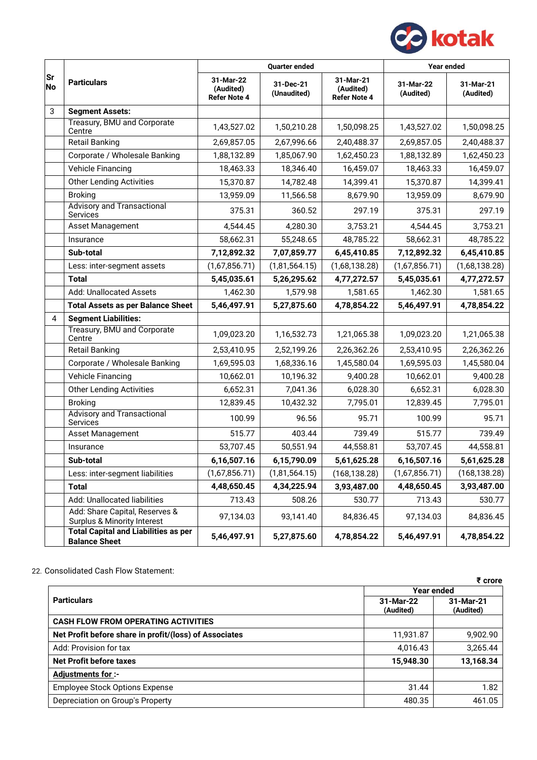

|                 |                                                                          |                                               | <b>Quarter ended</b>     |                                               | <b>Year ended</b>      |                        |
|-----------------|--------------------------------------------------------------------------|-----------------------------------------------|--------------------------|-----------------------------------------------|------------------------|------------------------|
| Sr<br><b>No</b> | <b>Particulars</b>                                                       | 31-Mar-22<br>(Audited)<br><b>Refer Note 4</b> | 31-Dec-21<br>(Unaudited) | 31-Mar-21<br>(Audited)<br><b>Refer Note 4</b> | 31-Mar-22<br>(Audited) | 31-Mar-21<br>(Audited) |
| 3               | <b>Segment Assets:</b>                                                   |                                               |                          |                                               |                        |                        |
|                 | Treasury, BMU and Corporate<br>Centre                                    | 1,43,527.02                                   | 1,50,210.28              | 1,50,098.25                                   | 1,43,527.02            | 1,50,098.25            |
|                 | <b>Retail Banking</b>                                                    | 2,69,857.05                                   | 2,67,996.66              | 2,40,488.37                                   | 2,69,857.05            | 2,40,488.37            |
|                 | Corporate / Wholesale Banking                                            | 1,88,132.89                                   | 1,85,067.90              | 1,62,450.23                                   | 1,88,132.89            | 1,62,450.23            |
|                 | <b>Vehicle Financing</b>                                                 | 18,463.33                                     | 18,346.40                | 16,459.07                                     | 18,463.33              | 16,459.07              |
|                 | <b>Other Lending Activities</b>                                          | 15,370.87                                     | 14,782.48                | 14,399.41                                     | 15,370.87              | 14,399.41              |
|                 | <b>Broking</b>                                                           | 13,959.09                                     | 11,566.58                | 8,679.90                                      | 13,959.09              | 8,679.90               |
|                 | <b>Advisory and Transactional</b><br>Services                            | 375.31                                        | 360.52                   | 297.19                                        | 375.31                 | 297.19                 |
|                 | Asset Management                                                         | 4,544.45                                      | 4,280.30                 | 3,753.21                                      | 4,544.45               | 3,753.21               |
|                 | Insurance                                                                | 58,662.31                                     | 55,248.65                | 48,785.22                                     | 58,662.31              | 48,785.22              |
|                 | Sub-total                                                                | 7,12,892.32                                   | 7,07,859.77              | 6,45,410.85                                   | 7,12,892.32            | 6,45,410.85            |
|                 | Less: inter-segment assets                                               | (1,67,856.71)                                 | (1,81,564.15)            | (1,68,138.28)                                 | (1,67,856.71)          | (1,68,138.28)          |
|                 | <b>Total</b>                                                             | 5,45,035.61                                   | 5,26,295.62              | 4,77,272.57                                   | 5,45,035.61            | 4,77,272.57            |
|                 | <b>Add: Unallocated Assets</b>                                           | 1,462.30                                      | 1,579.98                 | 1,581.65                                      | 1,462.30               | 1,581.65               |
|                 | <b>Total Assets as per Balance Sheet</b>                                 | 5,46,497.91                                   | 5,27,875.60              | 4,78,854.22                                   | 5,46,497.91            | 4,78,854.22            |
| $\overline{4}$  | <b>Segment Liabilities:</b>                                              |                                               |                          |                                               |                        |                        |
|                 | Treasury, BMU and Corporate<br>Centre                                    | 1,09,023.20                                   | 1,16,532.73              | 1,21,065.38                                   | 1,09,023.20            | 1,21,065.38            |
|                 | <b>Retail Banking</b>                                                    | 2,53,410.95                                   | 2,52,199.26              | 2,26,362.26                                   | 2,53,410.95            | 2,26,362.26            |
|                 | Corporate / Wholesale Banking                                            | 1,69,595.03                                   | 1,68,336.16              | 1,45,580.04                                   | 1,69,595.03            | 1,45,580.04            |
|                 | <b>Vehicle Financing</b>                                                 | 10,662.01                                     | 10,196.32                | 9,400.28                                      | 10,662.01              | 9,400.28               |
|                 | <b>Other Lending Activities</b>                                          | 6,652.31                                      | 7,041.36                 | 6,028.30                                      | 6,652.31               | 6,028.30               |
|                 | <b>Broking</b>                                                           | 12,839.45                                     | 10,432.32                | 7,795.01                                      | 12,839.45              | 7,795.01               |
|                 | <b>Advisory and Transactional</b><br><b>Services</b>                     | 100.99                                        | 96.56                    | 95.71                                         | 100.99                 | 95.71                  |
|                 | Asset Management                                                         | 515.77                                        | 403.44                   | 739.49                                        | 515.77                 | 739.49                 |
|                 | Insurance                                                                | 53,707.45                                     | 50,551.94                | 44,558.81                                     | 53,707.45              | 44,558.81              |
|                 | Sub-total                                                                | 6,16,507.16                                   | 6,15,790.09              | 5,61,625.28                                   | 6,16,507.16            | 5,61,625.28            |
|                 | Less: inter-segment liabilities                                          | (1,67,856.71)                                 | (1,81,564.15)            | (168, 138.28)                                 | (1,67,856.71)          | (168, 138.28)          |
|                 | <b>Total</b>                                                             | 4,48,650.45                                   | 4,34,225.94              | 3,93,487.00                                   | 4,48,650.45            | 3,93,487.00            |
|                 | Add: Unallocated liabilities                                             | 713.43                                        | 508.26                   | 530.77                                        | 713.43                 | 530.77                 |
|                 | Add: Share Capital, Reserves &<br><b>Surplus &amp; Minority Interest</b> | 97,134.03                                     | 93,141.40                | 84,836.45                                     | 97,134.03              | 84,836.45              |
|                 | <b>Total Capital and Liabilities as per</b><br><b>Balance Sheet</b>      | 5,46,497.91                                   | 5,27,875.60              | 4,78,854.22                                   | 5,46,497.91            | 4,78,854.22            |

## 22. Consolidated Cash Flow Statement:

|                                                        |                        | ₹ crore                |  |  |  |
|--------------------------------------------------------|------------------------|------------------------|--|--|--|
|                                                        | Year ended             |                        |  |  |  |
| <b>Particulars</b>                                     | 31-Mar-22<br>(Audited) | 31-Mar-21<br>(Audited) |  |  |  |
| <b>CASH FLOW FROM OPERATING ACTIVITIES</b>             |                        |                        |  |  |  |
| Net Profit before share in profit/(loss) of Associates | 11,931.87              | 9,902.90               |  |  |  |
| Add: Provision for tax                                 | 4,016.43               | 3,265.44               |  |  |  |
| <b>Net Profit before taxes</b>                         | 15,948.30              | 13,168.34              |  |  |  |
| <b>Adjustments for:-</b>                               |                        |                        |  |  |  |
| <b>Employee Stock Options Expense</b>                  | 31.44                  | 1.82                   |  |  |  |
| Depreciation on Group's Property                       | 480.35                 | 461.05                 |  |  |  |
|                                                        |                        |                        |  |  |  |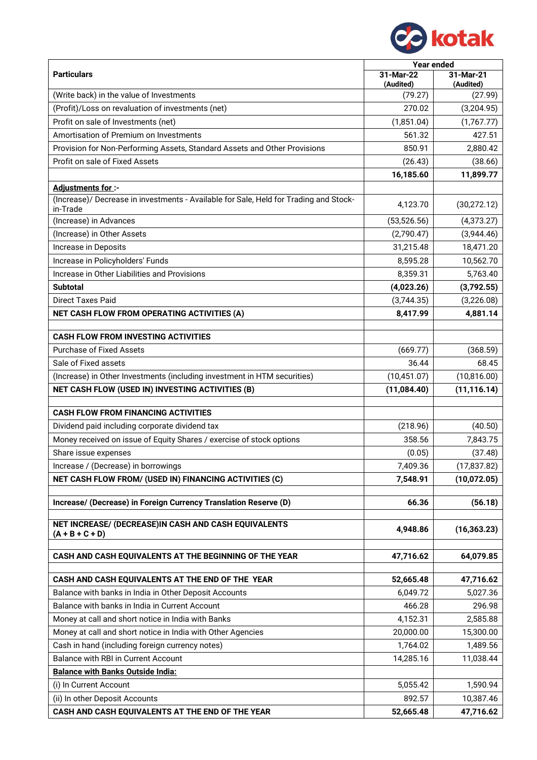

|                                                                                                   | <b>Year ended</b>      |                        |  |  |
|---------------------------------------------------------------------------------------------------|------------------------|------------------------|--|--|
| <b>Particulars</b>                                                                                | 31-Mar-22<br>(Audited) | 31-Mar-21<br>(Audited) |  |  |
| (Write back) in the value of Investments                                                          | (79.27)                | (27.99)                |  |  |
| (Profit)/Loss on revaluation of investments (net)                                                 | 270.02                 | (3,204.95)             |  |  |
| Profit on sale of Investments (net)                                                               | (1,851.04)             | (1,767.77)             |  |  |
| Amortisation of Premium on Investments                                                            | 561.32                 | 427.51                 |  |  |
| Provision for Non-Performing Assets, Standard Assets and Other Provisions                         | 850.91                 | 2,880.42               |  |  |
| Profit on sale of Fixed Assets                                                                    | (26.43)                | (38.66)                |  |  |
|                                                                                                   | 16,185.60              | 11,899.77              |  |  |
| <b>Adjustments for:-</b>                                                                          |                        |                        |  |  |
| (Increase)/ Decrease in investments - Available for Sale, Held for Trading and Stock-<br>in-Trade | 4,123.70               | (30, 272.12)           |  |  |
| (Increase) in Advances                                                                            | (53, 526.56)           | (4,373.27)             |  |  |
| (Increase) in Other Assets                                                                        | (2,790.47)             | (3,944.46)             |  |  |
| Increase in Deposits                                                                              | 31,215.48              | 18,471.20              |  |  |
| Increase in Policyholders' Funds                                                                  | 8,595.28               | 10,562.70              |  |  |
| Increase in Other Liabilities and Provisions                                                      | 8,359.31               | 5,763.40               |  |  |
| <b>Subtotal</b>                                                                                   | (4,023.26)             | (3,792.55)             |  |  |
| <b>Direct Taxes Paid</b>                                                                          | (3,744.35)             | (3,226.08)             |  |  |
| NET CASH FLOW FROM OPERATING ACTIVITIES (A)                                                       | 8,417.99               | 4,881.14               |  |  |
|                                                                                                   |                        |                        |  |  |
| <b>CASH FLOW FROM INVESTING ACTIVITIES</b>                                                        |                        |                        |  |  |
| <b>Purchase of Fixed Assets</b>                                                                   | (669.77)               | (368.59)               |  |  |
| Sale of Fixed assets                                                                              | 36.44                  | 68.45                  |  |  |
| (Increase) in Other Investments (including investment in HTM securities)                          | (10, 451.07)           | (10, 816.00)           |  |  |
| NET CASH FLOW (USED IN) INVESTING ACTIVITIES (B)                                                  | (11,084.40)            | (11, 116.14)           |  |  |
|                                                                                                   |                        |                        |  |  |
| <b>CASH FLOW FROM FINANCING ACTIVITIES</b>                                                        |                        |                        |  |  |
| Dividend paid including corporate dividend tax                                                    | (218.96)               | (40.50)                |  |  |
| Money received on issue of Equity Shares / exercise of stock options                              | 358.56                 | 7,843.75               |  |  |
| Share issue expenses                                                                              | (0.05)                 | (37.48)                |  |  |
| Increase / (Decrease) in borrowings                                                               | 7,409.36               | (17, 837.82)           |  |  |
| NET CASH FLOW FROM/ (USED IN) FINANCING ACTIVITIES (C)                                            | 7,548.91               | (10,072.05)            |  |  |
| Increase/ (Decrease) in Foreign Currency Translation Reserve (D)                                  | 66.36                  | (56.18)                |  |  |
| NET INCREASE/ (DECREASE)IN CASH AND CASH EQUIVALENTS                                              |                        |                        |  |  |
| $(A + B + C + D)$                                                                                 | 4,948.86               | (16, 363.23)           |  |  |
| CASH AND CASH EQUIVALENTS AT THE BEGINNING OF THE YEAR                                            | 47,716.62              | 64,079.85              |  |  |
|                                                                                                   |                        |                        |  |  |
| CASH AND CASH EQUIVALENTS AT THE END OF THE YEAR                                                  | 52,665.48              | 47,716.62              |  |  |
| Balance with banks in India in Other Deposit Accounts                                             | 6,049.72               | 5,027.36               |  |  |
| Balance with banks in India in Current Account                                                    | 466.28                 | 296.98                 |  |  |
| Money at call and short notice in India with Banks                                                | 4,152.31               | 2,585.88               |  |  |
| Money at call and short notice in India with Other Agencies                                       | 20,000.00              | 15,300.00              |  |  |
| Cash in hand (including foreign currency notes)                                                   | 1,764.02               | 1,489.56               |  |  |
| Balance with RBI in Current Account                                                               | 14,285.16              | 11,038.44              |  |  |
| <b>Balance with Banks Outside India:</b>                                                          |                        |                        |  |  |
| (i) In Current Account                                                                            | 5,055.42               | 1,590.94               |  |  |
| (ii) In other Deposit Accounts                                                                    | 892.57                 | 10,387.46              |  |  |
| CASH AND CASH EQUIVALENTS AT THE END OF THE YEAR                                                  | 52,665.48              | 47,716.62              |  |  |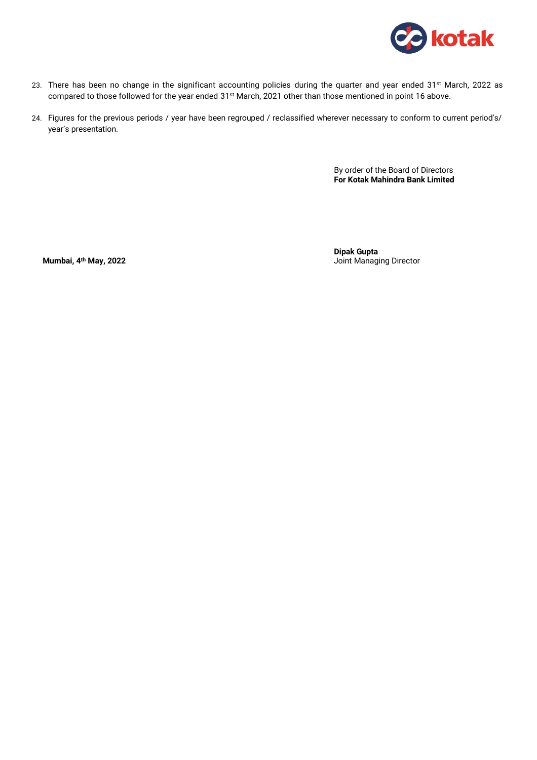

- 23. There has been no change in the significant accounting policies during the quarter and year ended 31<sup>st</sup> March, 2022 as compared to those followed for the year ended 31<sup>st</sup> March, 2021 other than those mentioned in point 16 above.
- 24. Figures for the previous periods / year have been regrouped / reclassified wherever necessary to conform to current period's/ year's presentation.

By order of the Board of Directors **For Kotak Mahindra Bank Limited**

**Dipak Gupta Mumbai, 4th May, 2022** Joint Managing Director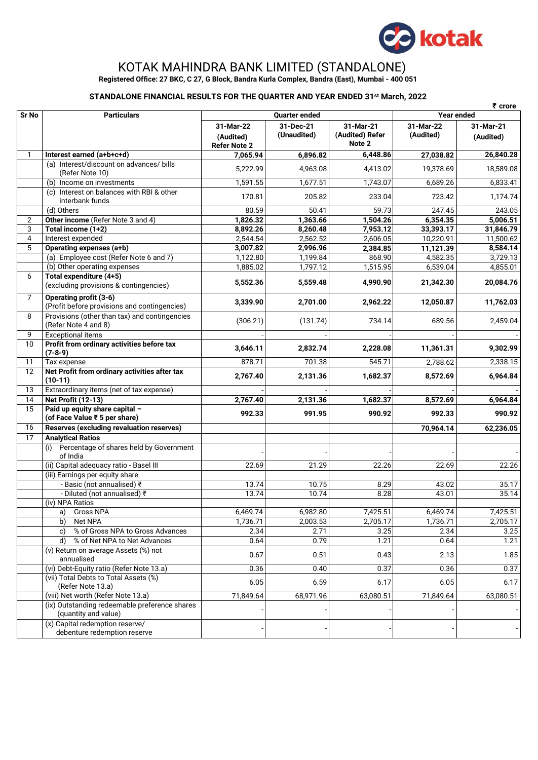

# KOTAK MAHINDRA BANK LIMITED (STANDALONE)

**Registered Office: 27 BKC, C 27, G Block, Bandra Kurla Complex, Bandra (East), Mumbai - 400 051**

## **STANDALONE FINANCIAL RESULTS FOR THE QUARTER AND YEAR ENDED 31st March, 2022**

|                 |                                                                        |                                               |                          |                                        |                        | $\bar{\epsilon}$ crore |  |
|-----------------|------------------------------------------------------------------------|-----------------------------------------------|--------------------------|----------------------------------------|------------------------|------------------------|--|
| Sr No           | <b>Particulars</b>                                                     | <b>Quarter ended</b>                          |                          |                                        | <b>Year ended</b>      |                        |  |
|                 |                                                                        | 31-Mar-22<br>(Audited)<br><b>Refer Note 2</b> | 31-Dec-21<br>(Unaudited) | 31-Mar-21<br>(Audited) Refer<br>Note 2 | 31-Mar-22<br>(Audited) | 31-Mar-21<br>(Audited) |  |
| 1               | Interest earned (a+b+c+d)                                              | 7,065.94                                      | 6,896.82                 | 6,448.86                               | 27,038.82              | 26,840.28              |  |
|                 | (a) Interest/discount on advances/ bills<br>(Refer Note 10)            | 5,222.99                                      | 4,963.08                 | 4,413.02                               | 19,378.69              | 18,589.08              |  |
|                 | (b) Income on investments                                              | 1,591.55                                      | 1,677.51                 | 1,743.07                               | 6,689.26               | 6,833.41               |  |
|                 | (c) Interest on balances with RBI & other<br>interbank funds           | 170.81                                        | 205.82                   | 233.04                                 | 723.42                 | 1,174.74               |  |
|                 | (d) Others                                                             | 80.59                                         | 50.41                    | 59.73                                  | 247.45                 | 243.05                 |  |
| 2               | Other income (Refer Note 3 and 4)                                      | 1,826.32                                      | 1,363.66                 | 1,504.26                               | 6,354.35               | 5,006.51               |  |
| 3               | Total income (1+2)                                                     | 8,892.26                                      | 8,260.48                 | 7,953.12                               | 33,393.17              | 31,846.79              |  |
| $\overline{4}$  | Interest expended                                                      | 2,544.54                                      | 2,562.52                 | 2,606.05                               | 10,220.91              | 11,500.62              |  |
| 5               | Operating expenses (a+b)                                               | 3,007.82                                      | 2,996.96                 | 2,384.85                               | 11,121.39              | 8,584.14               |  |
|                 | (a) Employee cost (Refer Note 6 and 7)                                 | 1,122.80                                      | 1,199.84                 | 868.90                                 | 4,582.35               | 3,729.13               |  |
|                 | (b) Other operating expenses                                           | 1,885.02                                      | 1,797.12                 | 1,515.95                               | 6,539.04               | 4,855.01               |  |
| 6               | Total expenditure (4+5)<br>(excluding provisions & contingencies)      | 5,552.36                                      | 5,559.48                 | 4,990.90                               | 21,342.30              | 20,084.76              |  |
| $\overline{7}$  | Operating profit (3-6)<br>(Profit before provisions and contingencies) | 3,339.90                                      | 2,701.00                 | 2,962.22                               | 12,050.87              | 11,762.03              |  |
| 8               | Provisions (other than tax) and contingencies<br>(Refer Note 4 and 8)  | (306.21)                                      | (131.74)                 | 734.14                                 | 689.56                 | 2,459.04               |  |
| 9               | <b>Exceptional items</b>                                               |                                               |                          |                                        |                        |                        |  |
| 10              | Profit from ordinary activities before tax<br>$(7-8-9)$                | 3,646.11                                      | 2,832.74                 | 2,228.08                               | 11,361.31              | 9,302.99               |  |
| 11              | Tax expense                                                            | 878.71                                        | 701.38                   | 545.71                                 | 2,788.62               | 2,338.15               |  |
| 12              | Net Profit from ordinary activities after tax<br>$(10-11)$             | 2,767.40                                      | 2,131.36                 | 1,682.37                               | 8,572.69               | 6,964.84               |  |
| $\overline{13}$ | Extraordinary items (net of tax expense)                               |                                               |                          |                                        |                        |                        |  |
| 14              | <b>Net Profit (12-13)</b>                                              | 2,767.40                                      | 2,131.36                 | 1,682.37                               | 8,572.69               | 6,964.84               |  |
| 15              | Paid up equity share capital -<br>(of Face Value ₹ 5 per share)        | 992.33                                        | 991.95                   | 990.92                                 | 992.33                 | 990.92                 |  |
| 16              | Reserves (excluding revaluation reserves)                              |                                               |                          |                                        | 70,964.14              | 62,236.05              |  |
| 17              | <b>Analytical Ratios</b>                                               |                                               |                          |                                        |                        |                        |  |
|                 | Percentage of shares held by Government<br>(i)<br>of India             |                                               |                          |                                        |                        |                        |  |
|                 | (ii) Capital adequacy ratio - Basel III                                | 22.69                                         | 21.29                    | 22.26                                  | 22.69                  | 22.26                  |  |
|                 | (iii) Earnings per equity share                                        |                                               |                          |                                        |                        |                        |  |
|                 | - Basic (not annualised) ₹                                             | 13.74                                         | 10.75                    | 8.29                                   | 43.02                  | 35.17                  |  |
|                 | - Diluted (not annualised) ₹                                           | 13.74                                         | 10.74                    | 8.28                                   | 43.01                  | 35.14                  |  |
|                 | (iv) NPA Ratios                                                        |                                               |                          |                                        |                        |                        |  |
|                 | Gross NPA<br>a)                                                        | 6,469.74                                      | 6,982.80                 | 7,425.51                               | 6,469.74               | 7,425.51               |  |
|                 | Net NPA<br>b)                                                          | 1,736.71                                      | 2,003.53                 | 2,705.17                               | 1,736.71               | 2,705.17               |  |
|                 | % of Gross NPA to Gross Advances<br>c)                                 | 2.34                                          | 2.71                     | 3.25                                   | 2.34                   | 3.25                   |  |
|                 | % of Net NPA to Net Advances                                           | 0.64                                          | 0.79                     | 1.21                                   | 0.64                   | 1.21                   |  |
|                 | (v) Return on average Assets (%) not<br>annualised                     | 0.67                                          | 0.51                     | 0.43                                   | 2.13                   | 1.85                   |  |
|                 | (vi) Debt-Equity ratio (Refer Note 13.a)                               | 0.36                                          | 0.40                     | 0.37                                   | 0.36                   | 0.37                   |  |
|                 | (vii) Total Debts to Total Assets (%)<br>(Refer Note 13.a)             | 6.05                                          | 6.59                     | 6.17                                   | 6.05                   | 6.17                   |  |
|                 | (viii) Net worth (Refer Note 13.a)                                     | 71,849.64                                     | 68,971.96                | 63,080.51                              | 71,849.64              | 63,080.51              |  |
|                 | (ix) Outstanding redeemable preference shares<br>(quantity and value)  |                                               |                          |                                        |                        |                        |  |
|                 | (x) Capital redemption reserve/<br>debenture redemption reserve        |                                               |                          |                                        |                        |                        |  |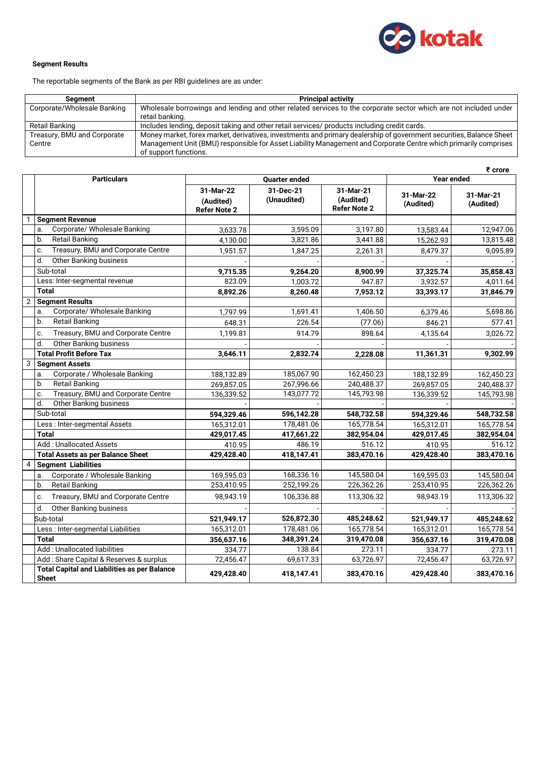

### **Segment Results**

The reportable segments of the Bank as per RBI guidelines are as under:

| Seament                     | <b>Principal activity</b>                                                                                           |
|-----------------------------|---------------------------------------------------------------------------------------------------------------------|
| Corporate/Wholesale Banking | Wholesale borrowings and lending and other related services to the corporate sector which are not included under    |
|                             | retail banking.                                                                                                     |
| Retail Banking              | Includes lending, deposit taking and other retail services/ products including credit cards.                        |
| Treasury, BMU and Corporate | Money market, forex market, derivatives, investments and primary dealership of government securities, Balance Sheet |
| Centre                      | Management Unit (BMU) responsible for Asset Liability Management and Corporate Centre which primarily comprises     |
|                             | of support functions.                                                                                               |

|                |                                                                     |                                               |                          |                                               |                        | ₹ crore                |
|----------------|---------------------------------------------------------------------|-----------------------------------------------|--------------------------|-----------------------------------------------|------------------------|------------------------|
|                | <b>Particulars</b>                                                  |                                               | <b>Quarter ended</b>     |                                               | <b>Year ended</b>      |                        |
|                |                                                                     | 31-Mar-22<br>(Audited)<br><b>Refer Note 2</b> | 31-Dec-21<br>(Unaudited) | 31-Mar-21<br>(Audited)<br><b>Refer Note 2</b> | 31-Mar-22<br>(Audited) | 31-Mar-21<br>(Audited) |
| 1              | <b>Segment Revenue</b>                                              |                                               |                          |                                               |                        |                        |
|                | Corporate/ Wholesale Banking<br>a.                                  | 3,633.78                                      | 3,595.09                 | 3,197.80                                      | 13,583.44              | 12,947.06              |
|                | <b>Retail Banking</b><br>b.                                         | 4,130.00                                      | 3,821.86                 | 3,441.88                                      | 15,262.93              | 13,815.48              |
|                | Treasury, BMU and Corporate Centre<br>c.                            | 1,951.57                                      | 1,847.25                 | 2,261.31                                      | 8,479.37               | 9,095.89               |
|                | <b>Other Banking business</b><br>d.                                 |                                               |                          |                                               |                        |                        |
|                | Sub-total                                                           | 9,715.35                                      | 9,264.20                 | 8,900.99                                      | 37,325.74              | 35,858.43              |
|                | Less: Inter-segmental revenue                                       | 823.09                                        | 1,003.72                 | 947.87                                        | 3,932.57               | 4,011.64               |
|                | <b>Total</b>                                                        | 8,892.26                                      | 8,260.48                 | 7,953.12                                      | 33,393.17              | 31,846.79              |
| $\overline{2}$ | <b>Segment Results</b>                                              |                                               |                          |                                               |                        |                        |
|                | Corporate/ Wholesale Banking<br>a.                                  | 1,797.99                                      | 1,691.41                 | 1,406.50                                      | 6,379.46               | 5,698.86               |
|                | <b>Retail Banking</b><br>b.                                         | 648.31                                        | 226.54                   | (77.06)                                       | 846.21                 | 577.41                 |
|                | Treasury, BMU and Corporate Centre<br>c.                            | 1,199.81                                      | 914.79                   | 898.64                                        | 4,135.64               | 3,026.72               |
|                | <b>Other Banking business</b><br>d.                                 |                                               |                          |                                               |                        |                        |
|                | <b>Total Profit Before Tax</b>                                      | 3,646.11                                      | 2,832.74                 | 2,228.08                                      | 11,361.31              | 9,302.99               |
| 3              | <b>Segment Assets</b>                                               |                                               |                          |                                               |                        |                        |
|                | Corporate / Wholesale Banking<br>a.                                 | 188,132.89                                    | 185,067.90               | 162,450.23                                    | 188,132.89             | 162,450.23             |
|                | <b>Retail Banking</b><br>$\mathbf b$ .                              | 269,857.05                                    | 267,996.66               | 240,488.37                                    | 269,857.05             | 240,488.37             |
|                | Treasury, BMU and Corporate Centre<br>c.                            | 136,339.52                                    | 143,077.72               | 145,793.98                                    | 136,339.52             | 145,793.98             |
|                | d.<br><b>Other Banking business</b>                                 |                                               |                          |                                               |                        |                        |
|                | Sub-total                                                           | 594,329.46                                    | 596,142.28               | 548,732.58                                    | 594,329.46             | 548,732.58             |
|                | Less: Inter-segmental Assets                                        | 165,312.01                                    | 178,481.06               | 165,778.54                                    | 165,312.01             | 165,778.54             |
|                | <b>Total</b>                                                        | 429,017.45                                    | 417,661.22               | 382,954.04                                    | 429,017.45             | 382,954.04             |
|                | Add: Unallocated Assets                                             | 410.95                                        | 486.19                   | 516.12                                        | 410.95                 | 516.12                 |
|                | <b>Total Assets as per Balance Sheet</b>                            | 429,428.40                                    | 418,147.41               | 383,470.16                                    | 429,428.40             | 383,470.16             |
| $\overline{4}$ | <b>Segment Liabilities</b>                                          |                                               |                          |                                               |                        |                        |
|                | Corporate / Wholesale Banking<br>a.                                 | 169,595.03                                    | 168,336.16               | 145,580.04                                    | 169,595.03             | 145,580.04             |
|                | <b>Retail Banking</b><br>b.                                         | 253,410.95                                    | 252,199.26               | 226,362.26                                    | 253,410.95             | 226,362.26             |
|                | Treasury, BMU and Corporate Centre<br>c.                            | 98,943.19                                     | 106,336.88               | 113,306.32                                    | 98,943.19              | 113,306.32             |
|                | d.<br><b>Other Banking business</b>                                 |                                               |                          |                                               |                        |                        |
|                | Sub-total                                                           | 521,949.17                                    | 526,872.30               | 485,248.62                                    | 521,949.17             | 485,248.62             |
|                | Less : Inter-segmental Liabilities                                  | 165,312.01                                    | 178,481.06               | 165,778.54                                    | 165,312.01             | 165,778.54             |
|                | <b>Total</b>                                                        | 356,637.16                                    | 348,391.24               | 319,470.08                                    | 356,637.16             | 319,470.08             |
|                | Add: Unallocated liabilities                                        | 334.77                                        | 138.84                   | 273.11                                        | 334.77                 | 273.11                 |
|                | Add: Share Capital & Reserves & surplus                             | 72,456.47                                     | 69,617.33                | 63,726.97                                     | 72,456.47              | 63,726.97              |
|                | <b>Total Capital and Liabilities as per Balance</b><br><b>Sheet</b> | 429,428.40                                    | 418,147.41               | 383,470.16                                    | 429,428.40             | 383,470.16             |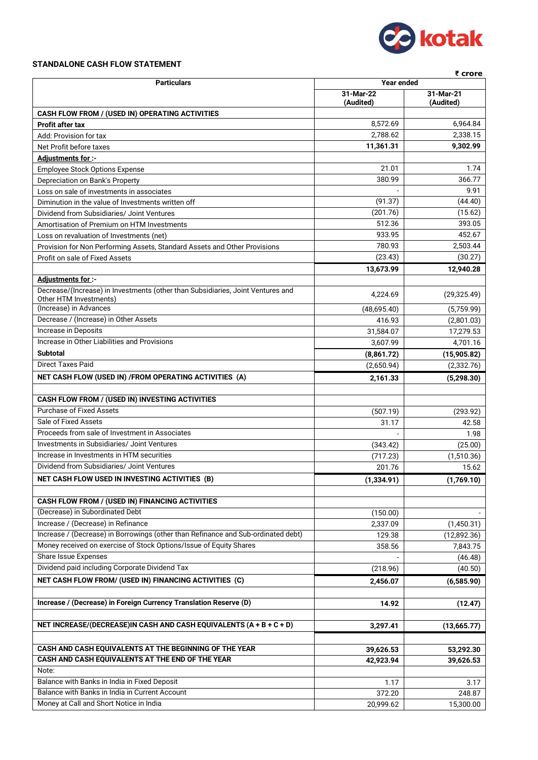

## **STANDALONE CASH FLOW STATEMENT**

| ₹ crore                                                                                                                 |             |             |  |
|-------------------------------------------------------------------------------------------------------------------------|-------------|-------------|--|
| <b>Particulars</b>                                                                                                      | Year ended  |             |  |
|                                                                                                                         | 31-Mar-22   | 31-Mar-21   |  |
| CASH FLOW FROM / (USED IN) OPERATING ACTIVITIES                                                                         | (Audited)   | (Audited)   |  |
| <b>Profit after tax</b>                                                                                                 | 8,572.69    | 6,964.84    |  |
| Add: Provision for tax                                                                                                  | 2,788.62    | 2,338.15    |  |
| Net Profit before taxes                                                                                                 | 11,361.31   | 9,302.99    |  |
| Adjustments for :-                                                                                                      |             |             |  |
| <b>Employee Stock Options Expense</b>                                                                                   | 21.01       | 1.74        |  |
| Depreciation on Bank's Property                                                                                         | 380.99      | 366.77      |  |
| Loss on sale of investments in associates                                                                               |             | 9.91        |  |
| Diminution in the value of Investments written off                                                                      | (91.37)     | (44.40)     |  |
| Dividend from Subsidiaries/ Joint Ventures                                                                              | (201.76)    | (15.62)     |  |
| Amortisation of Premium on HTM Investments                                                                              | 512.36      | 393.05      |  |
| Loss on revaluation of Investments (net)                                                                                | 933.95      | 452.67      |  |
| Provision for Non Performing Assets, Standard Assets and Other Provisions                                               | 780.93      | 2,503.44    |  |
| Profit on sale of Fixed Assets                                                                                          | (23.43)     | (30.27)     |  |
|                                                                                                                         | 13,673.99   | 12,940.28   |  |
| Adjustments for :-                                                                                                      |             |             |  |
| Decrease/(Increase) in Investments (other than Subsidiaries, Joint Ventures and<br>Other HTM Investments)               | 4,224.69    | (29,325.49) |  |
| (Increase) in Advances                                                                                                  | (48,695.40) | (5,759.99)  |  |
| Decrease / (Increase) in Other Assets                                                                                   | 416.93      | (2,801.03)  |  |
| Increase in Deposits                                                                                                    | 31,584.07   | 17,279.53   |  |
| Increase in Other Liabilities and Provisions                                                                            | 3,607.99    | 4,701.16    |  |
| <b>Subtotal</b>                                                                                                         | (8,861.72)  | (15,905.82) |  |
| <b>Direct Taxes Paid</b>                                                                                                | (2,650.94)  | (2,332.76)  |  |
| NET CASH FLOW (USED IN) / FROM OPERATING ACTIVITIES (A)                                                                 | 2,161.33    | (5, 298.30) |  |
|                                                                                                                         |             |             |  |
| CASH FLOW FROM / (USED IN) INVESTING ACTIVITIES                                                                         |             |             |  |
| <b>Purchase of Fixed Assets</b>                                                                                         | (507.19)    | (293.92)    |  |
| Sale of Fixed Assets                                                                                                    | 31.17       | 42.58       |  |
| Proceeds from sale of Investment in Associates                                                                          |             | 1.98        |  |
| Investments in Subsidiaries/ Joint Ventures                                                                             | (343.42)    | (25.00)     |  |
| Increase in Investments in HTM securities                                                                               | (717.23)    | (1,510.36)  |  |
| Dividend from Subsidiaries/ Joint Ventures                                                                              | 201.76      | 15.62       |  |
| NET CASH FLOW USED IN INVESTING ACTIVITIES (B)                                                                          | (1,334.91)  | (1,769.10)  |  |
|                                                                                                                         |             |             |  |
| <b>CASH FLOW FROM / (USED IN) FINANCING ACTIVITIES</b>                                                                  |             |             |  |
| (Decrease) in Subordinated Debt                                                                                         | (150.00)    |             |  |
| Increase / (Decrease) in Refinance<br>Increase / (Decrease) in Borrowings (other than Refinance and Sub-ordinated debt) | 2,337.09    | (1,450.31)  |  |
| Money received on exercise of Stock Options/Issue of Equity Shares                                                      | 129.38      | (12,892.36) |  |
| Share Issue Expenses                                                                                                    | 358.56      | 7,843.75    |  |
| Dividend paid including Corporate Dividend Tax                                                                          |             | (46.48)     |  |
|                                                                                                                         | (218.96)    | (40.50)     |  |
| NET CASH FLOW FROM/ (USED IN) FINANCING ACTIVITIES (C)                                                                  | 2,456.07    | (6,585.90)  |  |
| Increase / (Decrease) in Foreign Currency Translation Reserve (D)                                                       | 14.92       |             |  |
|                                                                                                                         |             | (12.47)     |  |
| NET INCREASE/(DECREASE)IN CASH AND CASH EQUIVALENTS (A + B + C + D)                                                     | 3,297.41    | (13,665.77) |  |
|                                                                                                                         |             |             |  |
| CASH AND CASH EQUIVALENTS AT THE BEGINNING OF THE YEAR                                                                  | 39,626.53   | 53,292.30   |  |
| CASH AND CASH EQUIVALENTS AT THE END OF THE YEAR                                                                        | 42,923.94   | 39,626.53   |  |
| Note:                                                                                                                   |             |             |  |
| Balance with Banks in India in Fixed Deposit                                                                            | 1.17        | 3.17        |  |
| Balance with Banks in India in Current Account                                                                          | 372.20      | 248.87      |  |
| Money at Call and Short Notice in India                                                                                 | 20,999.62   | 15,300.00   |  |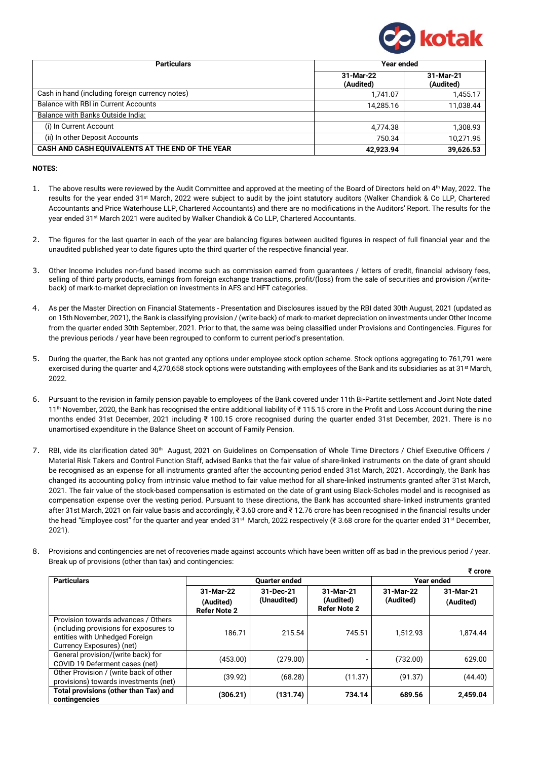

 **₹ crore**

| <b>Particulars</b>                               | <b>Year ended</b>      |                        |
|--------------------------------------------------|------------------------|------------------------|
|                                                  | 31-Mar-22<br>(Audited) | 31-Mar-21<br>(Audited) |
| Cash in hand (including foreign currency notes)  | 1,741.07               | 1,455.17               |
| Balance with RBI in Current Accounts             | 14.285.16              | 11,038.44              |
| Balance with Banks Outside India:                |                        |                        |
| (i) In Current Account                           | 4,774.38               | 1,308.93               |
| (ii) In other Deposit Accounts                   | 750.34                 | 10,271.95              |
| CASH AND CASH EQUIVALENTS AT THE END OF THE YEAR | 42,923.94              | 39,626.53              |

#### **NOTES**:

- 1. The above results were reviewed by the Audit Committee and approved at the meeting of the Board of Directors held on 4<sup>th</sup> May, 2022. The results for the year ended 31st March, 2022 were subject to audit by the joint statutory auditors (Walker Chandiok & Co LLP, Chartered Accountants and Price Waterhouse LLP, Chartered Accountants) and there are no modifications in the Auditors' Report. The results for the year ended 31<sup>st</sup> March 2021 were audited by Walker Chandiok & Co LLP, Chartered Accountants.
- 2. The figures for the last quarter in each of the year are balancing figures between audited figures in respect of full financial year and the unaudited published year to date figures upto the third quarter of the respective financial year.
- 3. Other Income includes non-fund based income such as commission earned from guarantees / letters of credit, financial advisory fees, selling of third party products, earnings from foreign exchange transactions, profit/(loss) from the sale of securities and provision /(writeback) of mark-to-market depreciation on investments in AFS and HFT categories.
- 4. As per the Master Direction on Financial Statements Presentation and Disclosures issued by the RBI dated 30th August, 2021 (updated as on 15th November, 2021), the Bank is classifying provision / (write-back) of mark-to-market depreciation on investments under Other Income from the quarter ended 30th September, 2021. Prior to that, the same was being classified under Provisions and Contingencies. Figures for the previous periods / year have been regrouped to conform to current period's presentation.
- 5. During the quarter, the Bank has not granted any options under employee stock option scheme. Stock options aggregating to 761,791 were exercised during the quarter and 4,270,658 stock options were outstanding with employees of the Bank and its subsidiaries as at 31<sup>st</sup> March, 2022.
- 6. Pursuant to the revision in family pension payable to employees of the Bank covered under 11th Bi-Partite settlement and Joint Note dated 11th November, 2020, the Bank has recognised the entire additional liability of ₹ 115.15 crore in the Profit and Loss Account during the nine months ended 31st December, 2021 including ₹ 100.15 crore recognised during the quarter ended 31st December, 2021. There is no unamortised expenditure in the Balance Sheet on account of Family Pension.
- 7. RBI, vide its clarification dated 30<sup>th</sup> August, 2021 on Guidelines on Compensation of Whole Time Directors / Chief Executive Officers / Material Risk Takers and Control Function Staff, advised Banks that the fair value of share-linked instruments on the date of grant should be recognised as an expense for all instruments granted after the accounting period ended 31st March, 2021. Accordingly, the Bank has changed its accounting policy from intrinsic value method to fair value method for all share-linked instruments granted after 31st March, 2021. The fair value of the stock-based compensation is estimated on the date of grant using Black-Scholes model and is recognised as compensation expense over the vesting period. Pursuant to these directions, the Bank has accounted share-linked instruments granted after 31st March, 2021 on fair value basis and accordingly, ₹ 3.60 crore and ₹ 12.76 crore has been recognised in the financial results under the head "Employee cost" for the quarter and year ended 31<sup>st</sup> March, 2022 respectively (₹ 3.68 crore for the quarter ended 31<sup>st</sup> December, 2021).
- 8. Provisions and contingencies are net of recoveries made against accounts which have been written off as bad in the previous period / year. Break up of provisions (other than tax) and contingencies:

|                                                                                                                                              |                      |             |                     | 1 vivie    |           |
|----------------------------------------------------------------------------------------------------------------------------------------------|----------------------|-------------|---------------------|------------|-----------|
| <b>Particulars</b>                                                                                                                           | <b>Ouarter ended</b> |             |                     | Year ended |           |
|                                                                                                                                              | 31-Mar-22            | 31-Dec-21   | 31-Mar-21           | 31-Mar-22  | 31-Mar-21 |
|                                                                                                                                              | (Audited)            | (Unaudited) | (Audited)           | (Audited)  | (Audited) |
|                                                                                                                                              | <b>Refer Note 2</b>  |             | <b>Refer Note 2</b> |            |           |
| Provision towards advances / Others<br>(including provisions for exposures to<br>entities with Unhedged Foreign<br>Currency Exposures) (net) | 186.71               | 215.54      | 745.51              | 1.512.93   | 1.874.44  |
| General provision/(write back) for<br>COVID 19 Deferment cases (net)                                                                         | (453.00)             | (279.00)    |                     | (732.00)   | 629.00    |
| Other Provision / (write back of other<br>provisions) towards investments (net)                                                              | (39.92)              | (68.28)     | (11.37)             | (91.37)    | (44.40)   |
| Total provisions (other than Tax) and<br>contingencies                                                                                       | (306.21)             | (131.74)    | 734.14              | 689.56     | 2,459.04  |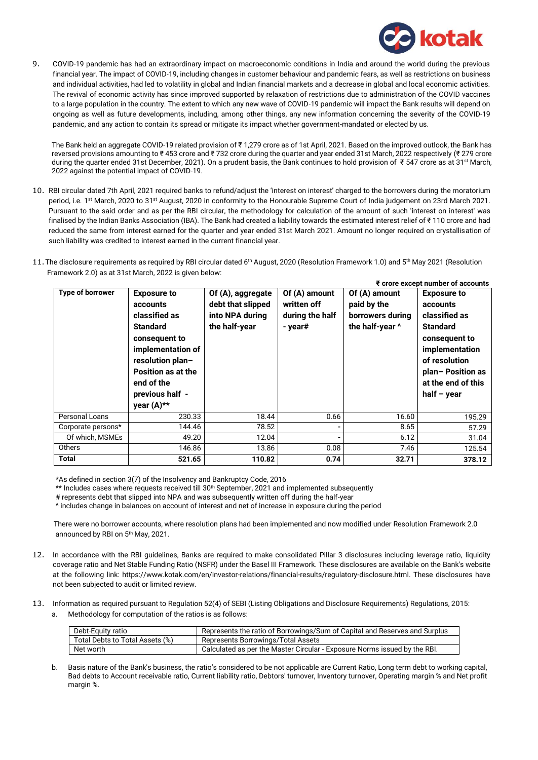

9. COVID-19 pandemic has had an extraordinary impact on macroeconomic conditions in India and around the world during the previous financial year. The impact of COVID-19, including changes in customer behaviour and pandemic fears, as well as restrictions on business and individual activities, had led to volatility in global and Indian financial markets and a decrease in global and local economic activities. The revival of economic activity has since improved supported by relaxation of restrictions due to administration of the COVID vaccines to a large population in the country. The extent to which any new wave of COVID-19 pandemic will impact the Bank results will depend on ongoing as well as future developments, including, among other things, any new information concerning the severity of the COVID-19 pandemic, and any action to contain its spread or mitigate its impact whether government-mandated or elected by us.

The Bank held an aggregate COVID-19 related provision of ₹1.279 crore as of 1st April, 2021. Based on the improved outlook, the Bank has reversed provisions amounting to ₹453 crore and ₹732 crore during the quarter and year ended 31st March, 2022 respectively (₹279 crore during the quarter ended 31st December, 2021). On a prudent basis, the Bank continues to hold provision of ₹ 547 crore as at 31st March, 2022 against the potential impact of COVID-19.

- 10. RBI circular dated 7th April, 2021 required banks to refund/adjust the 'interest on interest' charged to the borrowers during the moratorium period, i.e. 1st March, 2020 to 31st August, 2020 in conformity to the Honourable Supreme Court of India judgement on 23rd March 2021. Pursuant to the said order and as per the RBI circular, the methodology for calculation of the amount of such 'interest on interest' was finalised by the Indian Banks Association (IBA). The Bank had created a liability towards the estimated interest relief of ₹ 110 crore and had reduced the same from interest earned for the quarter and year ended 31st March 2021. Amount no longer required on crystallisation of such liability was credited to interest earned in the current financial year.
- 11. The disclosure requirements as required by RBI circular dated 6th August, 2020 (Resolution Framework 1.0) and 5th May 2021 (Resolution Framework 2.0) as at 31st March, 2022 is given below:

| <b>Type of borrower</b> | <b>Exposure to</b><br>accounts<br>classified as<br><b>Standard</b><br>consequent to<br>implementation of<br>resolution plan-<br>Position as at the<br>end of the<br>previous half -<br>year (A)** | Of (A), aggregate<br>debt that slipped<br>into NPA during<br>the half-year | Of $(A)$ amount<br>written off<br>during the half<br>- year# | Of (A) amount<br>paid by the<br>borrowers during<br>the half-year ^ | ₹ crore except number of accounts<br><b>Exposure to</b><br>accounts<br>classified as<br><b>Standard</b><br>consequent to<br>implementation<br>of resolution<br>plan-Position as<br>at the end of this<br>half $-$ year |
|-------------------------|---------------------------------------------------------------------------------------------------------------------------------------------------------------------------------------------------|----------------------------------------------------------------------------|--------------------------------------------------------------|---------------------------------------------------------------------|------------------------------------------------------------------------------------------------------------------------------------------------------------------------------------------------------------------------|
| Personal Loans          | 230.33                                                                                                                                                                                            | 18.44                                                                      | 0.66                                                         | 16.60                                                               | 195.29                                                                                                                                                                                                                 |
| Corporate persons*      | 144.46                                                                                                                                                                                            | 78.52                                                                      |                                                              | 8.65                                                                | 57.29                                                                                                                                                                                                                  |
| Of which, MSMEs         | 49.20                                                                                                                                                                                             | 12.04                                                                      |                                                              | 6.12                                                                | 31.04                                                                                                                                                                                                                  |
| Others                  | 146.86                                                                                                                                                                                            | 13.86                                                                      | 0.08                                                         | 7.46                                                                | 125.54                                                                                                                                                                                                                 |
| Total                   | 521.65                                                                                                                                                                                            | 110.82                                                                     | 0.74                                                         | 32.71                                                               | 378.12                                                                                                                                                                                                                 |

\*As defined in section 3(7) of the Insolvency and Bankruptcy Code, 2016

\*\* Includes cases where requests received till 30<sup>th</sup> September, 2021 and implemented subsequently

# represents debt that slipped into NPA and was subsequently written off during the half-year

^ includes change in balances on account of interest and net of increase in exposure during the period

There were no borrower accounts, where resolution plans had been implemented and now modified under Resolution Framework 2.0 announced by RBI on 5th May, 2021.

- 12. In accordance with the RBI guidelines, Banks are required to make consolidated Pillar 3 disclosures including leverage ratio, liquidity coverage ratio and Net Stable Funding Ratio (NSFR) under the Basel III Framework. These disclosures are available on the Bank's website at the following link: [https://www.kotak.com/en/investor-relations/financial-results/regulatory-disclosure.html.](https://www.kotak.com/en/investor-relations/financial-results/regulatory-disclosure.html) These disclosures have not been subjected to audit or limited review.
- 13. Information as required pursuant to Regulation 52(4) of SEBI (Listing Obligations and Disclosure Requirements) Regulations, 2015: a. Methodology for computation of the ratios is as follows:

| Debt-Equity ratio               | Represents the ratio of Borrowings/Sum of Capital and Reserves and Surplus |
|---------------------------------|----------------------------------------------------------------------------|
| Total Debts to Total Assets (%) | Represents Borrowings/Total Assets                                         |
| Net worth                       | Calculated as per the Master Circular - Exposure Norms issued by the RBI.  |

b. Basis nature of the Bank's business, the ratio's considered to be not applicable are Current Ratio, Long term debt to working capital, Bad debts to Account receivable ratio, Current liability ratio, Debtors' turnover, Inventory turnover, Operating margin % and Net profit margin %.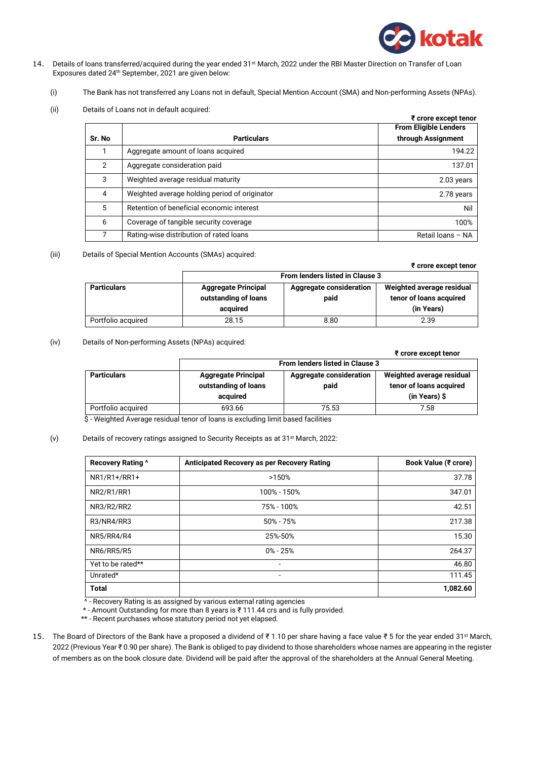

**₹ crore except tenor**

- 14. Details of loans transferred/acquired during the year ended 31st March, 2022 under the RBI Master Direction on Transfer of Loan Exposures dated 24th September, 2021 are given below:
	- (i) The Bank has not transferred any Loans not in default, Special Mention Account (SMA) and Non-performing Assets (NPAs).
	- (ii) Details of Loans not in default acquired:

|        | ₹ crore except tenor                          |                              |  |
|--------|-----------------------------------------------|------------------------------|--|
|        |                                               | <b>From Eligible Lenders</b> |  |
| Sr. No | <b>Particulars</b>                            | through Assignment           |  |
|        | Aggregate amount of loans acquired            | 194.22                       |  |
| 2      | Aggregate consideration paid                  | 137.01                       |  |
| 3      | Weighted average residual maturity            | 2.03 years                   |  |
| 4      | Weighted average holding period of originator | 2.78 years                   |  |
| 5      | Retention of beneficial economic interest     | Nil                          |  |
| 6      | Coverage of tangible security coverage        | 100%                         |  |
|        | Rating-wise distribution of rated loans       | Retail loans - NA            |  |

(iii) Details of Special Mention Accounts (SMAs) acquired:

|                    |                                                    |                                        | י טוטופ פגעפטנ נפווטו                                |  |
|--------------------|----------------------------------------------------|----------------------------------------|------------------------------------------------------|--|
|                    | <b>From lenders listed in Clause 3</b>             |                                        |                                                      |  |
| <b>Particulars</b> | <b>Aggregate Principal</b><br>outstanding of loans | <b>Aggregate consideration</b><br>paid | Weighted average residual<br>tenor of loans acquired |  |
|                    | acquired                                           |                                        | (in Years)                                           |  |
|                    |                                                    |                                        |                                                      |  |
| Portfolio acquired | 28.15                                              | 8.80                                   | 2.39                                                 |  |

### (iv) Details of Non-performing Assets (NPAs) acquired:

|                    |                                        |                                | ₹ crore except tenor      |  |
|--------------------|----------------------------------------|--------------------------------|---------------------------|--|
|                    | <b>From lenders listed in Clause 3</b> |                                |                           |  |
| <b>Particulars</b> | <b>Aggregate Principal</b>             | <b>Aggregate consideration</b> | Weighted average residual |  |
|                    | outstanding of loans                   | paid                           | tenor of loans acquired   |  |
|                    | acquired                               |                                | $(in Years)$ \$           |  |
| Portfolio acquired | 693.66                                 | 75.53                          | 7.58                      |  |

\$ - Weighted Average residual tenor of loans is excluding limit based facilities

### (v) Details of recovery ratings assigned to Security Receipts as at 31st March, 2022:

| <b>Recovery Rating ^</b> | Anticipated Recovery as per Recovery Rating | Book Value (₹ crore) |
|--------------------------|---------------------------------------------|----------------------|
| $NR1/R1+/RR1+$           | >150%                                       | 37.78                |
| <b>NR2/R1/RR1</b>        | 100% - 150%                                 | 347.01               |
| NR3/R2/RR2               | 75% - 100%                                  | 42.51                |
| R3/NR4/RR3               | $50\% - 75\%$                               | 217.38               |
| NR5/RR4/R4               | 25%-50%                                     | 15.30                |
| NR6/RR5/R5               | $0\% - 25\%$                                | 264.37               |
| Yet to be rated**        |                                             | 46.80                |
| Unrated*                 | -                                           | 111.45               |
| <b>Total</b>             |                                             | 1,082.60             |

^ - Recovery Rating is as assigned by various external rating agencies

\* - Amount Outstanding for more than 8 years is ₹ 111.44 crs and is fully provided.

\*\* - Recent purchases whose statutory period not yet elapsed.

15. The Board of Directors of the Bank have a proposed a dividend of ₹1.10 per share having a face value ₹5 for the year ended 31<sup>st</sup> March, 2022 (Previous Year ₹ 0.90 per share). The Bank is obliged to pay dividend to those shareholders whose names are appearing in the register of members as on the book closure date. Dividend will be paid after the approval of the shareholders at the Annual General Meeting.